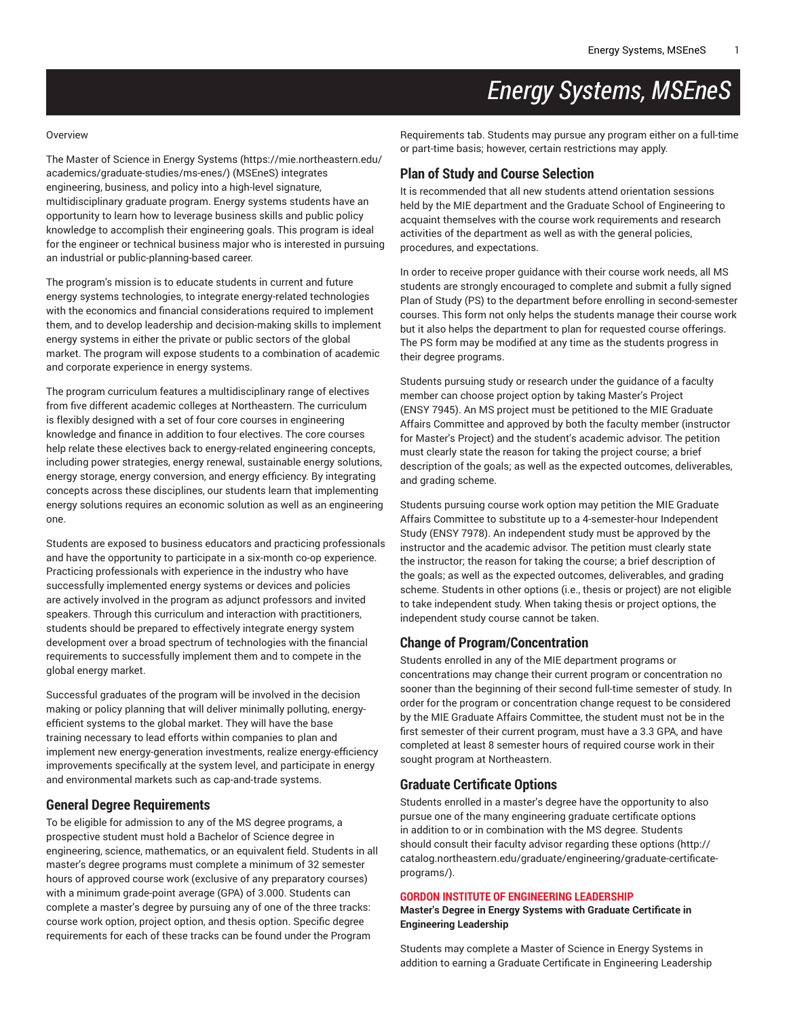# *Energy Systems, MSEneS*

#### Overview

The Master of Science in Energy [Systems](https://mie.northeastern.edu/academics/graduate-studies/ms-enes/) ([https://mie.northeastern.edu/](https://mie.northeastern.edu/academics/graduate-studies/ms-enes/) [academics/graduate-studies/ms-enes/](https://mie.northeastern.edu/academics/graduate-studies/ms-enes/)) (MSEneS) integrates engineering, business, and policy into a high-level signature, multidisciplinary graduate program. Energy systems students have an opportunity to learn how to leverage business skills and public policy knowledge to accomplish their engineering goals. This program is ideal for the engineer or technical business major who is interested in pursuing an industrial or public-planning-based career.

The program's mission is to educate students in current and future energy systems technologies, to integrate energy-related technologies with the economics and financial considerations required to implement them, and to develop leadership and decision-making skills to implement energy systems in either the private or public sectors of the global market. The program will expose students to a combination of academic and corporate experience in energy systems.

The program curriculum features a multidisciplinary range of electives from five different academic colleges at Northeastern. The curriculum is flexibly designed with a set of four core courses in engineering knowledge and finance in addition to four electives. The core courses help relate these electives back to energy-related engineering concepts, including power strategies, energy renewal, sustainable energy solutions, energy storage, energy conversion, and energy efficiency. By integrating concepts across these disciplines, our students learn that implementing energy solutions requires an economic solution as well as an engineering one.

Students are exposed to business educators and practicing professionals and have the opportunity to participate in a six-month co-op experience. Practicing professionals with experience in the industry who have successfully implemented energy systems or devices and policies are actively involved in the program as adjunct professors and invited speakers. Through this curriculum and interaction with practitioners, students should be prepared to effectively integrate energy system development over a broad spectrum of technologies with the financial requirements to successfully implement them and to compete in the global energy market.

Successful graduates of the program will be involved in the decision making or policy planning that will deliver minimally polluting, energyefficient systems to the global market. They will have the base training necessary to lead efforts within companies to plan and implement new energy-generation investments, realize energy-efficiency improvements specifically at the system level, and participate in energy and environmental markets such as cap-and-trade systems.

### **General Degree Requirements**

To be eligible for admission to any of the MS degree programs, a prospective student must hold a Bachelor of Science degree in engineering, science, mathematics, or an equivalent field. Students in all master's degree programs must complete a minimum of 32 semester hours of approved course work (exclusive of any preparatory courses) with a minimum grade-point average (GPA) of 3.000. Students can complete a master's degree by pursuing any of one of the three tracks: course work option, project option, and thesis option. Specific degree requirements for each of these tracks can be found under the Program

Requirements tab. Students may pursue any program either on a full-time or part-time basis; however, certain restrictions may apply.

### **Plan of Study and Course Selection**

It is recommended that all new students attend orientation sessions held by the MIE department and the Graduate School of Engineering to acquaint themselves with the course work requirements and research activities of the department as well as with the general policies, procedures, and expectations.

In order to receive proper guidance with their course work needs, all MS students are strongly encouraged to complete and submit a fully signed Plan of Study (PS) to the department before enrolling in second-semester courses. This form not only helps the students manage their course work but it also helps the department to plan for requested course offerings. The PS form may be modified at any time as the students progress in their degree programs.

Students pursuing study or research under the guidance of a faculty member can choose project option by taking Master's Project (ENSY 7945). An MS project must be petitioned to the MIE Graduate Affairs Committee and approved by both the faculty member (instructor for Master's Project) and the student's academic advisor. The petition must clearly state the reason for taking the project course; a brief description of the goals; as well as the expected outcomes, deliverables, and grading scheme.

Students pursuing course work option may petition the MIE Graduate Affairs Committee to substitute up to a 4-semester-hour Independent Study (ENSY 7978). An independent study must be approved by the instructor and the academic advisor. The petition must clearly state the instructor; the reason for taking the course; a brief description of the goals; as well as the expected outcomes, deliverables, and grading scheme. Students in other options (i.e., thesis or project) are not eligible to take independent study. When taking thesis or project options, the independent study course cannot be taken.

#### **Change of Program/Concentration**

Students enrolled in any of the MIE department programs or concentrations may change their current program or concentration no sooner than the beginning of their second full-time semester of study. In order for the program or concentration change request to be considered by the MIE Graduate Affairs Committee, the student must not be in the first semester of their current program, must have a 3.3 GPA, and have completed at least 8 semester hours of required course work in their sought program at Northeastern.

#### **Graduate Certificate Options**

Students enrolled in a master's degree have the opportunity to also pursue one of the many engineering graduate certificate options in addition to or in combination with the MS degree. Students should consult their faculty advisor regarding these [options](http://catalog.northeastern.edu/graduate/engineering/graduate-certificate-programs/) ([http://](http://catalog.northeastern.edu/graduate/engineering/graduate-certificate-programs/) [catalog.northeastern.edu/graduate/engineering/graduate-certificate](http://catalog.northeastern.edu/graduate/engineering/graduate-certificate-programs/)[programs/](http://catalog.northeastern.edu/graduate/engineering/graduate-certificate-programs/)).

#### **GORDON INSTITUTE OF ENGINEERING LEADERSHIP**

**Master's Degree in Energy Systems with Graduate Certificate in Engineering Leadership**

Students may complete a Master of Science in Energy Systems in addition to earning a Graduate Certificate in [Engineering Leadership](http://catalog.northeastern.edu/graduate/engineering/multidisciplinary/engineering-leadership-graduate-certificate/)